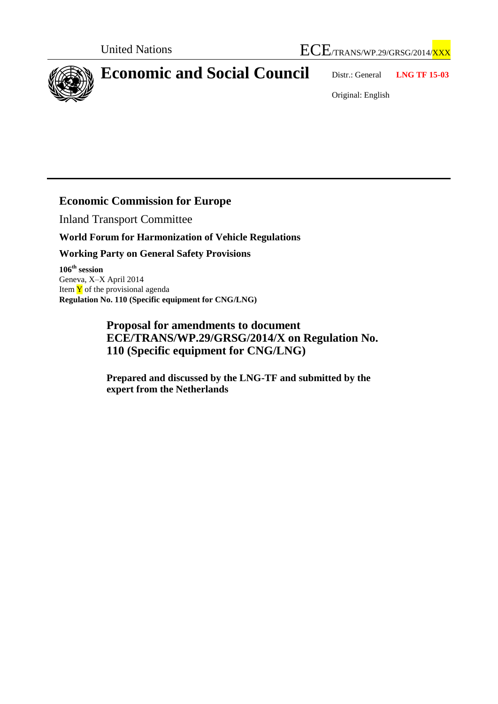



## **Economic and Social Council** Distr.: General **LNG TF 15-03**

Original: English

## **Economic Commission for Europe**

Inland Transport Committee

## **World Forum for Harmonization of Vehicle Regulations**

**Working Party on General Safety Provisions**

**106 th session** Geneva, X–X April 2014 Item  $\bar{Y}$  of the provisional agenda **Regulation No. 110 (Specific equipment for CNG/LNG)**

> **Proposal for amendments to document ECE/TRANS/WP.29/GRSG/2014/X on Regulation No. 110 (Specific equipment for CNG/LNG)**

**Prepared and discussed by the LNG-TF and submitted by the expert from the Netherlands**